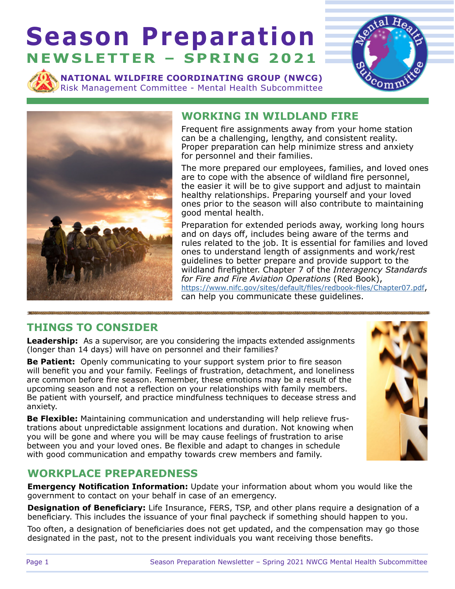# **Season Preparation NEWSLETTER – SPRING 2021**

**NATIONAL WILDFIRE COORDINATING GROUP (NWCG)**  Risk Management Committee - Mental Health Subcommittee





### **WORKING IN WILDLAND FIRE**

Frequent fire assignments away from your home station can be a challenging, lengthy, and consistent reality. Proper preparation can help minimize stress and anxiety for personnel and their families.

The more prepared our employees, families, and loved ones are to cope with the absence of wildland fire personnel, the easier it will be to give support and adjust to maintain healthy relationships. Preparing yourself and your loved ones prior to the season will also contribute to maintaining good mental health.

Preparation for extended periods away, working long hours and on days off, includes being aware of the terms and rules related to the job. It is essential for families and loved ones to understand length of assignments and work/rest guidelines to better prepare and provide support to the wildland firefighter. Chapter 7 of the *Interagency Standards for Fire and Fire Aviation Operations* (Red Book), <https://www.nifc.gov/sites/default/files/redbook-files/Chapter07.pdf>, can help you communicate these guidelines.

## **THINGS TO CONSIDER**

**Leadership:** As a supervisor, are you considering the impacts extended assignments (longer than 14 days) will have on personnel and their families?

**Be Patient:** Openly communicating to your support system prior to fire season will benefit you and your family. Feelings of frustration, detachment, and loneliness are common before fire season. Remember, these emotions may be a result of the upcoming season and not a reflection on your relationships with family members. Be patient with yourself, and practice mindfulness techniques to decease stress and anxiety.

**Be Flexible:** Maintaining communication and understanding will help relieve frustrations about unpredictable assignment locations and duration. Not knowing when you will be gone and where you will be may cause feelings of frustration to arise between you and your loved ones. Be flexible and adapt to changes in schedule with good communication and empathy towards crew members and family.



#### **WORKPLACE PREPAREDNESS**

**Emergency Notification Information:** Update your information about whom you would like the government to contact on your behalf in case of an emergency.

**Designation of Beneficiary:** Life Insurance, FERS, TSP, and other plans require a designation of a beneficiary. This includes the issuance of your final paycheck if something should happen to you.

Too often, a designation of beneficiaries does not get updated, and the compensation may go those designated in the past, not to the present individuals you want receiving those benefits.